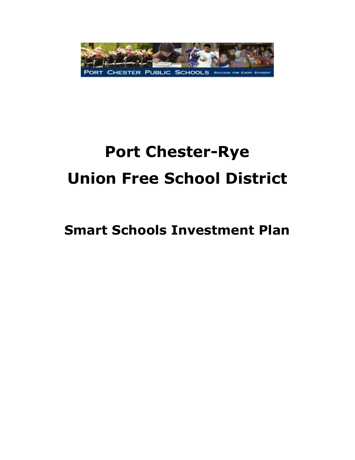

# **Port Chester-Rye Union Free School District**

# **Smart Schools Investment Plan**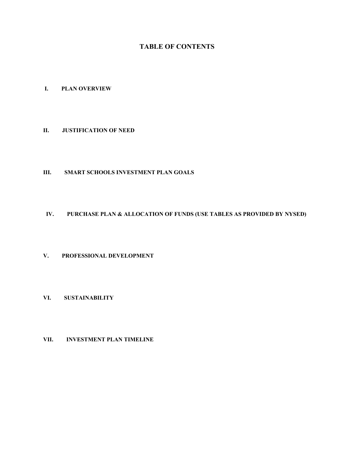# **TABLE OF CONTENTS**

# **I. PLAN OVERVIEW**

#### **II. JUSTIFICATION OF NEED**

# **III. SMART SCHOOLS INVESTMENT PLAN GOALS**

### **IV. PURCHASE PLAN & ALLOCATION OF FUNDS (USE TABLES AS PROVIDED BY NYSED)**

# **V. PROFESSIONAL DEVELOPMENT**

# **VI. SUSTAINABILITY**

#### **VII. INVESTMENT PLAN TIMELINE**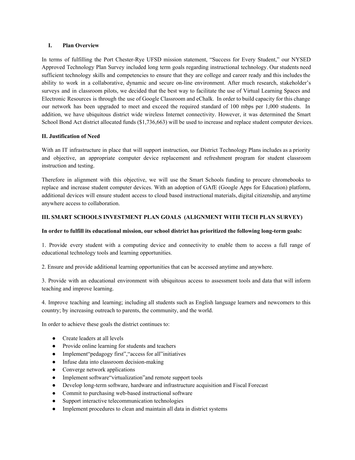#### **I. Plan Overview**

In terms of fulfilling the Port Chester-Rye UFSD mission statement, "Success for Every Student," our NYSED Approved Technology Plan Survey included long term goals regarding instructional technology. Our students need sufficient technology skills and competencies to ensure that they are college and career ready and this includes the ability to work in a collaborative, dynamic and secure on-line environment. After much research, stakeholder's surveys and in classroom pilots, we decided that the best way to facilitate the use of Virtual Learning Spaces and Electronic Resources is through the use of Google Classroom and eChalk. In order to build capacity for this change our network has been upgraded to meet and exceed the required standard of 100 mbps per 1,000 students. In addition, we have ubiquitous district wide wireless Internet connectivity. However, it was determined the Smart School Bond Act district allocated funds (\$1,736,663) will be used to increase and replace student computer devices.

#### **II. Justification of Need**

With an IT infrastructure in place that will support instruction, our District Technology Plans includes as a priority and objective, an appropriate computer device replacement and refreshment program for student classroom instruction and testing.

Therefore in alignment with this objective, we will use the Smart Schools funding to procure chromebooks to replace and increase student computer devices. With an adoption of GAfE (Google Apps for Education) platform, additional devices will ensure student access to cloud based instructional materials, digital citizenship, and anytime anywhere access to collaboration.

#### **III. SMART SCHOOLS INVESTMENT PLAN GOALS (ALIGNMENT WITH TECH PLAN SURVEY)**

#### **In order to fulfill its educational mission, our school district has prioritized the following longterm goals:**

1. Provide every student with a computing device and connectivity to enable them to access a full range of educational technology tools and learning opportunities.

2. Ensure and provide additional learning opportunities that can be accessed anytime and anywhere.

3. Provide with an educational environment with ubiquitous access to assessment tools and data that will inform teaching and improve learning.

4. Improve teaching and learning; including all students such as English language learners and newcomers to this country; by increasing outreach to parents, the community, and the world.

In order to achieve these goals the district continues to:

- Create leaders at all levels
- Provide online learning for students and teachers
- Implement"pedagogy first","access for all"initiatives
- $\bullet$  Infuse data into classroom decision-making
- Converge network applications
- Implement software "virtualization" and remote support tools
- Develop long-term software, hardware and infrastructure acquisition and Fiscal Forecast
- Commit to purchasing web-based instructional software
- Support interactive telecommunication technologies
- Implement procedures to clean and maintain all data in district systems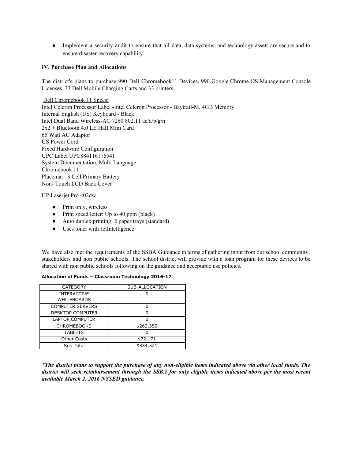• Implement a security audit to ensure that all data, data systems, and technology assets are secure and to ensure disaster recovery capability.

#### **IV. Purchase Plan and Allocations**

The district's plans to purchase 990 Dell Chromebook11 Devices, 990 Google Chrome OS Management Console Licenses, 33 Dell Mobile Charging Carts and 33 printers.

Dell Chromebook 11 Specs: Intel Celeron Processor Label - Intel Celeron Processor - Baytrail-M, 4GB Memory Internal English (US) Keyboard - Black Intel Dual Band Wireless-AC 7260 802.11 ac/a/b/g/n 2x2 + Bluetooth 4.0 LE Half Mini Card 65 Watt AC Adaptor US Power Cord Fixed Hardware Configuration UPC Label UPC884116176541 System Documentation, Multi Language Chromebook 11 Placemat 3 Cell Primary Battery Non-Touch LCD Back Cover

HP Laserjet Pro 402dw

- Print only, wireless
- Print speed letter: Up to 40 ppm (black)
- Auto duplex printing; 2 paper trays (standard)
- Uses toner with JetIntelligence

We have also met the requirements of the SSBA Guidance in terms of gathering input from our school community, stakeholders and non public schools. The school district will provide with a loan program for these devices to be shared with non public schools following on the guidance and acceptable use policies.

| <b>CATEGORY</b>         | SUB-ALLOCATION |
|-------------------------|----------------|
| <b>INTERACTIVE</b>      |                |
| WHITEBOARDS             |                |
| <b>COMPUTER SERVERS</b> |                |
| <b>DESKTOP COMPUTER</b> |                |
| <b>LAPTOP COMPUTER</b>  |                |
| <b>CHROMEBOOKS</b>      | \$262,350      |
| <b>TABLETS</b>          |                |
| <b>Other Costs</b>      | \$72,171       |
| Sub Total               | \$334,521      |

#### **Allocation of Funds – Classroom Technology 201617**

\*The district plans to support the purchase of any non-eligible items indicated above via other local funds. The district will seek reimbursement through the SSBA for only eligible items indicated above per the most recent *available March 2, 2016 NYSED guidance.*